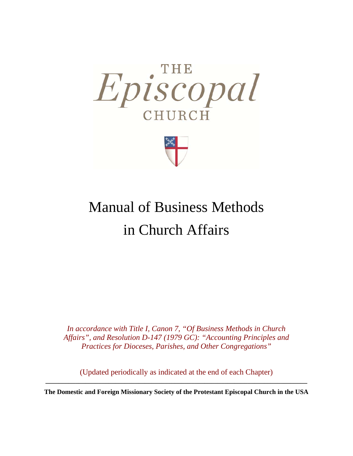

# Manual of Business Methods in Church Affairs

*In accordance with Title I, Canon 7, "Of Business Methods in Church Affairs", and Resolution D-147 (1979 GC): "Accounting Principles and Practices for Dioceses, Parishes, and Other Congregations"* 

(Updated periodically as indicated at the end of each Chapter) **\_\_\_\_\_\_\_\_\_\_\_\_\_\_\_\_\_\_\_\_\_\_\_\_\_\_\_\_\_\_\_\_\_\_\_\_\_\_\_\_\_\_\_\_\_\_\_\_\_\_\_\_\_\_\_\_\_\_\_\_\_\_\_\_\_\_\_\_\_\_\_\_\_\_\_\_\_\_\_** 

**The Domestic and Foreign Missionary Society of the Protestant Episcopal Church in the USA**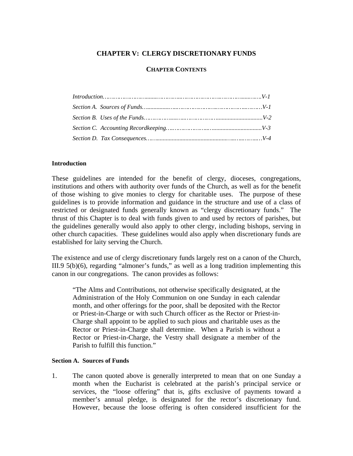## **CHAPTER V: CLERGY DISCRETIONARY FUNDS**

### **CHAPTER CONTENTS**

#### **Introduction**

These guidelines are intended for the benefit of clergy, dioceses, congregations, institutions and others with authority over funds of the Church, as well as for the benefit of those wishing to give monies to clergy for charitable uses. The purpose of these guidelines is to provide information and guidance in the structure and use of a class of restricted or designated funds generally known as "clergy discretionary funds." The thrust of this Chapter is to deal with funds given to and used by rectors of parishes, but the guidelines generally would also apply to other clergy, including bishops, serving in other church capacities. These guidelines would also apply when discretionary funds are established for laity serving the Church.

The existence and use of clergy discretionary funds largely rest on a canon of the Church, III.9 5(b)(6), regarding "almoner's funds," as well as a long tradition implementing this canon in our congregations. The canon provides as follows:

"The Alms and Contributions, not otherwise specifically designated, at the Administration of the Holy Communion on one Sunday in each calendar month, and other offerings for the poor, shall be deposited with the Rector or Priest-in-Charge or with such Church officer as the Rector or Priest-in-Charge shall appoint to be applied to such pious and charitable uses as the Rector or Priest-in-Charge shall determine. When a Parish is without a Rector or Priest-in-Charge, the Vestry shall designate a member of the Parish to fulfill this function."

#### **Section A. Sources of Funds**

1. The canon quoted above is generally interpreted to mean that on one Sunday a month when the Eucharist is celebrated at the parish's principal service or services, the "loose offering" that is, gifts exclusive of payments toward a member's annual pledge, is designated for the rector's discretionary fund. However, because the loose offering is often considered insufficient for the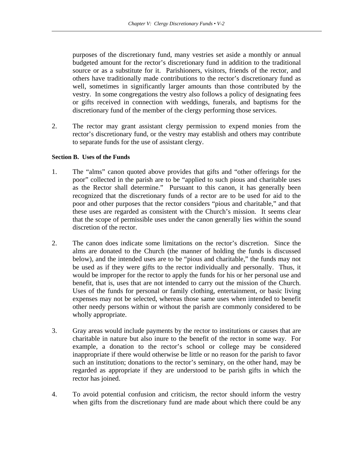purposes of the discretionary fund, many vestries set aside a monthly or annual budgeted amount for the rector's discretionary fund in addition to the traditional source or as a substitute for it. Parishioners, visitors, friends of the rector, and others have traditionally made contributions to the rector's discretionary fund as well, sometimes in significantly larger amounts than those contributed by the vestry. In some congregations the vestry also follows a policy of designating fees or gifts received in connection with weddings, funerals, and baptisms for the discretionary fund of the member of the clergy performing those services.

2. The rector may grant assistant clergy permission to expend monies from the rector's discretionary fund, or the vestry may establish and others may contribute to separate funds for the use of assistant clergy.

#### **Section B. Uses of the Funds**

- 1. The "alms" canon quoted above provides that gifts and "other offerings for the poor" collected in the parish are to be "applied to such pious and charitable uses as the Rector shall determine." Pursuant to this canon, it has generally been recognized that the discretionary funds of a rector are to be used for aid to the poor and other purposes that the rector considers "pious and charitable," and that these uses are regarded as consistent with the Church's mission. It seems clear that the scope of permissible uses under the canon generally lies within the sound discretion of the rector.
- 2. The canon does indicate some limitations on the rector's discretion. Since the alms are donated to the Church (the manner of holding the funds is discussed below), and the intended uses are to be "pious and charitable," the funds may not be used as if they were gifts to the rector individually and personally. Thus, it would be improper for the rector to apply the funds for his or her personal use and benefit, that is, uses that are not intended to carry out the mission of the Church. Uses of the funds for personal or family clothing, entertainment, or basic living expenses may not be selected, whereas those same uses when intended to benefit other needy persons within or without the parish are commonly considered to be wholly appropriate.
- 3. Gray areas would include payments by the rector to institutions or causes that are charitable in nature but also inure to the benefit of the rector in some way. For example, a donation to the rector's school or college may be considered inappropriate if there would otherwise be little or no reason for the parish to favor such an institution; donations to the rector's seminary, on the other hand, may be regarded as appropriate if they are understood to be parish gifts in which the rector has joined.
- 4. To avoid potential confusion and criticism, the rector should inform the vestry when gifts from the discretionary fund are made about which there could be any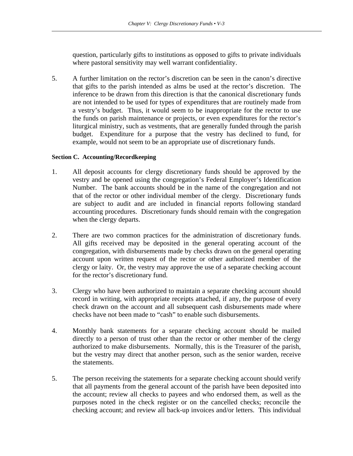question, particularly gifts to institutions as opposed to gifts to private individuals where pastoral sensitivity may well warrant confidentiality.

5. A further limitation on the rector's discretion can be seen in the canon's directive that gifts to the parish intended as alms be used at the rector's discretion. The inference to be drawn from this direction is that the canonical discretionary funds are not intended to be used for types of expenditures that are routinely made from a vestry's budget. Thus, it would seem to be inappropriate for the rector to use the funds on parish maintenance or projects, or even expenditures for the rector's liturgical ministry, such as vestments, that are generally funded through the parish budget. Expenditure for a purpose that the vestry has declined to fund, for example, would not seem to be an appropriate use of discretionary funds.

#### **Section C. Accounting/Recordkeeping**

- 1. All deposit accounts for clergy discretionary funds should be approved by the vestry and be opened using the congregation's Federal Employer's Identification Number. The bank accounts should be in the name of the congregation and not that of the rector or other individual member of the clergy. Discretionary funds are subject to audit and are included in financial reports following standard accounting procedures. Discretionary funds should remain with the congregation when the clergy departs.
- 2. There are two common practices for the administration of discretionary funds. All gifts received may be deposited in the general operating account of the congregation, with disbursements made by checks drawn on the general operating account upon written request of the rector or other authorized member of the clergy or laity. Or, the vestry may approve the use of a separate checking account for the rector's discretionary fund.
- 3. Clergy who have been authorized to maintain a separate checking account should record in writing, with appropriate receipts attached, if any, the purpose of every check drawn on the account and all subsequent cash disbursements made where checks have not been made to "cash" to enable such disbursements.
- 4. Monthly bank statements for a separate checking account should be mailed directly to a person of trust other than the rector or other member of the clergy authorized to make disbursements. Normally, this is the Treasurer of the parish, but the vestry may direct that another person, such as the senior warden, receive the statements.
- 5. The person receiving the statements for a separate checking account should verify that all payments from the general account of the parish have been deposited into the account; review all checks to payees and who endorsed them, as well as the purposes noted in the check register or on the cancelled checks; reconcile the checking account; and review all back-up invoices and/or letters. This individual